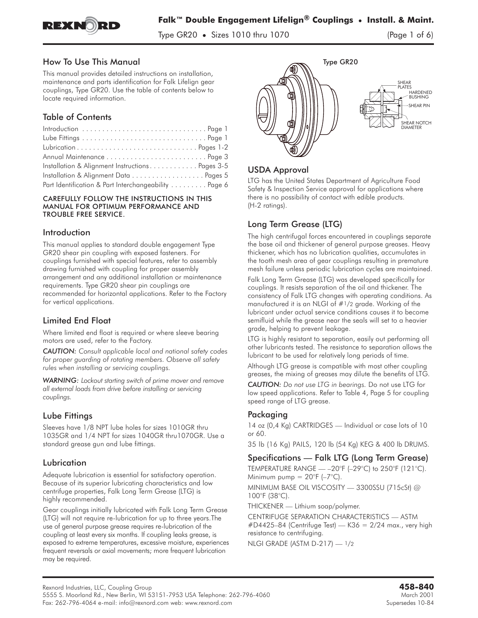

Type GR20 **•** Sizes 1010 thru 1070 (Page 1 of 6)

#### How To Use This Manual

This manual provides detailed instructions on installation, maintenance and parts identification for Falk Lifelign gear couplings, Type GR20. Use the table of contents below to locate required information.

## Table of Contents

| Installation & Alignment Instructions Pages 3-5      |  |
|------------------------------------------------------|--|
|                                                      |  |
| Part Identification & Part Interchangeability Page 6 |  |

#### CAREFULLY FOLLOW THE INSTRUCTIONS IN THIS MANUAL FOR OPTIMUM PERFORMANCE AND TROUBLE FREE SERVICE.

#### Introduction

This manual applies to standard double engagement Type GR20 shear pin coupling with exposed fasteners. For couplings furnished with special features, refer to assembly drawing furnished with coupling for proper assembly arrangement and any additional installation or maintenance requirements. Type GR20 shear pin couplings are recommended for horizontal applications. Refer to the Factory for vertical applications.

### Limited End Float

Where limited end float is required or where sleeve bearing motors are used, refer to the Factory.

*CAUTION: Consult applicable local and national safety codes for proper guarding of rotating members. Observe all safety rules when installing or servicing couplings.*

*WARNING: Lockout starting switch of prime mover and remove all external loads from drive before installing or servicing couplings.*

### Lube Fittings

Sleeves have 1/8 NPT lube holes for sizes 1010GR thru 1035GR and 1/4 NPT for sizes 1040GR thru1070GR. Use a standard grease gun and lube fittings.

### Lubrication

Adequate lubrication is essential for satisfactory operation. Because of its superior lubricating characteristics and low centrifuge properties, Falk Long Term Grease (LTG) is highly recommended.

Gear couplings initially lubricated with Falk Long Term Grease (LTG) will not require re-lubrication for up to three years.The use of general purpose grease requires re-lubrication of the coupling at least every six months. If coupling leaks grease, is exposed to extreme temperatures, excessive moisture, experiences frequent reversals or axial movements; more frequent lubrication may be required.



# USDA Approval

LTG has the United States Department of Agriculture Food Safety & Inspection Service approval for applications where there is no possibility of contact with edible products. (H-2 ratings).

# Long Term Grease (LTG)

The high centrifugal forces encountered in couplings separate the base oil and thickener of general purpose greases. Heavy thickener, which has no lubrication qualities, accumulates in the tooth mesh area of gear couplings resulting in premature mesh failure unless periodic lubrication cycles are maintained.

Falk Long Term Grease (LTG) was developed specifically for couplings. It resists separation of the oil and thickener. The consistency of Falk LTG changes with operating conditions. As manufactured it is an NLGI of #1/2 grade. Working of the lubricant under actual service conditions causes it to become semifluid while the grease near the seals will set to a heavier grade, helping to prevent leakage.

LTG is highly resistant to separation, easily out performing all other lubricants tested. The resistance to separation allows the lubricant to be used for relatively long periods of time.

Although LTG grease is compatible with most other coupling **greases, the mixing of greases may dilute the benefits of LTG.**

*CAUTION: Do not use LTG in bearings.* Do not use LTG for low speed applications. Refer to Table 4, Page 5 for coupling speed range of LTG grease.

### Packaging

**14 oz (0,4 Kg) CARTRIDGES — Individual or case lots of 10 or 60.**

**35 lb (16 Kg) PAILS, 120 lb (54 Kg) KEG & 400 lb DRUMS.**

# Specifications — Falk LTG (Long Term Grease)

TEMPERATURE RANGE — **–20°F (–29°C) to 250°F (121°C).** Minimum pump **= 20°F (–7°C).**

MINIMUM BASE OIL VISCOSITY — **3300SSU (715cSt) @ 100°F (38°C).**

THICKENER — Lithium soap/polymer.

CENTRIFUGE SEPARATION CHARACTERISTICS — ASTM  $\#D4425-84$  (Centrifuge Test) — K36 = 2/24 max., very high **resistance to centrifuging.**

NLGI GRADE (ASTM D-217) — **1/2**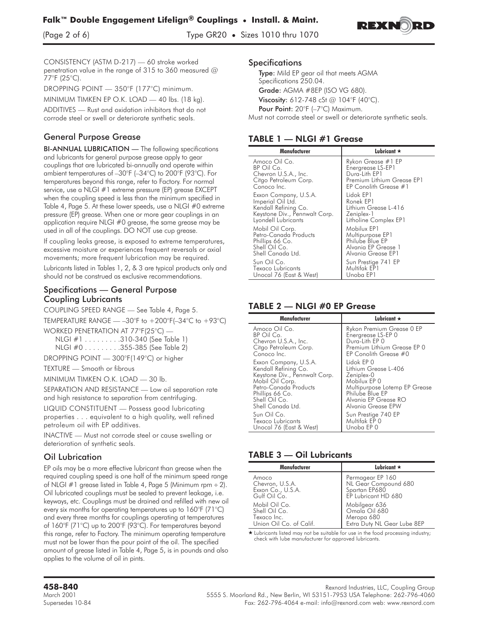

(Page 2 of 6) Type GR20 **•** Sizes 1010 thru 1070



CONSISTENCY (ASTM D-217) — 60 stroke worked penetration value in the range of 315 to 360 measured @ 77°F (25°C).

**DROPPING POINT — 350°F (177°C) minimum.**

**MINIMUM TIMKEN EP O.K. LOAD — 40 lbs. (18 kg).**

**ADDITIVES — Rust and oxidation inhibitors that do not corrode steel or swell or deteriorate synthetic seals.**

## General Purpose Grease

BI-ANNUAL LUBRICATION — The following specifications and lubricants for general purpose grease apply to gear couplings that are lubricated bi-annually and operate within ambient temperatures of –30°F (–34°C) to 200°F (93°C). For temperatures beyond this range, refer to Factory. For normal service, use a NLGI #1 extreme pressure (EP) grease EXCEPT when the coupling speed is less than the minimum specified in Table 4, Page 5. At these lower speeds, use a NLGI #0 extreme pressure (EP) grease. When one or more gear couplings in an application require NLGI #0 grease, the same grease may be used in all of the couplings. DO NOT use cup grease.

**If coupling leaks grease, is exposed to extreme temperatures, excessive moisture or experiences frequent reversals or axial movements; more frequent lubrication may be required.**

**Lubricants listed in Tables 1, 2, & 3 are typical products only and should not be construed as exclusive recommendations.**

#### Specifications — General Purpose Coupling Lubricants

**COUPLING SPEED RANGE — See Table 4, Page 5.**

TEMPERATURE RANGE  $-$  -30°F to +200°F(-34°C to +93°C) WORKED PENETRATION AT 77°F(25°C) —

NLGI #1........ .310-340 (See Table 1)

- NLGI #0........ .355-385 (See Table 2)
- DROPPING POINT 300°F(149°C) or higher

TEXTURE — Smooth or fibrous

MINIMUM TIMKEN O.K. LOAD — 30 lb.

**SEPARATION AND RESISTANCE — Low oil separation rate and high resistance to separation from centrifuging.**

**LIQUID CONSTITUENT — Possess good lubricating properties... equivalent to a high quality, well refined petroleum oil with EP additives.**

INACTIVE — Must not corrode steel or cause swelling or deterioration of synthetic seals.

# Oil Lubrication

**EP oils may be a more effective lubricant than grease when the required coupling speed is one half of the minimum speed range of NLGI #1 grease listed in Table 4, Page 5 (Minimum rpm - 2). Oil lubricated couplings must be sealed to prevent leakage, i.e. keyways, etc. Couplings must be drained and refilled with new oil every six months for operating temperatures up to 160°F (71°C) and every three months for couplings operating at temperatures of 160°F (71°C) up to 200°F (93°C). For temperatures beyond this range, refer to Factory. The minimum operating temperature must not be lower than the pour point of the oil. The specified amount of grease listed in Table 4, Page 5, is in pounds and also applies to the volume of oil in pints.**

#### **Specifications**

Type: Mild EP gear oil that meets AGMA Specifications 250.04. Grade: AGMA #8EP (ISO VG 680). **Viscosity:** 612-748 cSt @ 104°F (40°C). Pour Point: 20°F (-7°C) Maximum.

Must not corrode steel or swell or deteriorate synthetic seals.

| Manufacturer                  | Lubricant $\star$          |  |  |  |  |  |  |  |
|-------------------------------|----------------------------|--|--|--|--|--|--|--|
| Amoco Oil Co.                 | Rykon Grease #1 EP         |  |  |  |  |  |  |  |
| BP Oil Co.                    | Energrease LS-EP1          |  |  |  |  |  |  |  |
| Chevron U.S.A., Inc.          | Durg-Lith EP1              |  |  |  |  |  |  |  |
| Citgo Petroleum Corp.         | Premium Lithium Grease EP1 |  |  |  |  |  |  |  |
| Conoco Inc.                   | EP Conolith Grease #1      |  |  |  |  |  |  |  |
| Exxon Company, U.S.A.         | Lidok EP1                  |  |  |  |  |  |  |  |
| Imperial Oil Ltd.             | Ronek EP1                  |  |  |  |  |  |  |  |
| Kendall Refining Co.          | Lithium Grease L-416       |  |  |  |  |  |  |  |
| Keystone Div., Pennwalt Corp. | Zeniplex-1                 |  |  |  |  |  |  |  |
| Lyondell Lubricants           | Litholine Complex EP1      |  |  |  |  |  |  |  |
| Mobil Oil Corp.               | Mobilux EP1                |  |  |  |  |  |  |  |
| Petro-Canada Products         | Multipurpose EP1           |  |  |  |  |  |  |  |
| Phillips 66 Co.               | Philube Blue EP            |  |  |  |  |  |  |  |
| Shell Oil Co.                 | Alvania EP Grease 1        |  |  |  |  |  |  |  |
| Shell Canada Ltd.             | Alvania Grease EP1         |  |  |  |  |  |  |  |
| Sun Oil Co.                   | Sun Prestige 741 EP        |  |  |  |  |  |  |  |
| Texaco Lubricants             | Multifak EP1               |  |  |  |  |  |  |  |
| Unocal 76 (East & West)       | Unoba EP1                  |  |  |  |  |  |  |  |

## TABLE 2 - NLGI #0 EP Grease

| Manufacturer                  | Lubricant $\star$             |  |  |  |  |  |  |
|-------------------------------|-------------------------------|--|--|--|--|--|--|
| Amoco Oil Co.                 | Rykon Premium Grease 0 EP     |  |  |  |  |  |  |
| BP Oil Co.                    | Energrease LS-EP 0            |  |  |  |  |  |  |
| Chevron U.S.A., Inc.          | Durg-Lith EP 0                |  |  |  |  |  |  |
| Citgo Petroleum Corp.         | Premium Lithium Grease EP 0   |  |  |  |  |  |  |
| Conoco Inc.                   | EP Conolith Grease #0         |  |  |  |  |  |  |
| Exxon Company, U.S.A.         | Lidok EP 0                    |  |  |  |  |  |  |
| Kendall Refining Co.          | Lithium Grease L-406          |  |  |  |  |  |  |
| Keystone Div., Pennwalt Corp. | Zeniplex-0                    |  |  |  |  |  |  |
| Mobil Oil Corp.               | Mobilux EP 0                  |  |  |  |  |  |  |
| Petro-Canada Products         | Multipurpose Lotemp EP Grease |  |  |  |  |  |  |
| Phillips 66 Co.               | Philube Blue EP               |  |  |  |  |  |  |
| Shell Oil Co.                 | Alvania EP Grease RO          |  |  |  |  |  |  |
| Shell Canada Ltd.             | Alvania Grease EPW            |  |  |  |  |  |  |
| Sun Oil Co.                   | Sun Prestige 740 EP           |  |  |  |  |  |  |
| Texaco Lubricants             | Multifak EP 0                 |  |  |  |  |  |  |
| Unocal 76 (East & West)       | Unoba EP 0                    |  |  |  |  |  |  |

### **TABLE 3 - Oil Lubricants**

| Manufacturer            | Lubricant $\star$           |  |  |  |  |  |  |  |  |  |
|-------------------------|-----------------------------|--|--|--|--|--|--|--|--|--|
| Amoco                   | Permagear EP 160            |  |  |  |  |  |  |  |  |  |
| Chevron, U.S.A.         | NL Gear Compound 680        |  |  |  |  |  |  |  |  |  |
| Exxon Co., U.S.A.       | Spartan EP680               |  |  |  |  |  |  |  |  |  |
| Gulf Oil Co.            | EP Lubricant HD 680         |  |  |  |  |  |  |  |  |  |
| Mobil Oil Co.           | Mobilgear 636               |  |  |  |  |  |  |  |  |  |
| Shell Oil Co.           | Omala Oil 680               |  |  |  |  |  |  |  |  |  |
| Texaco Inc.             | Meropa 680                  |  |  |  |  |  |  |  |  |  |
| Union Oil Co. of Calif. | Extra Duty NL Gear Lube 8EP |  |  |  |  |  |  |  |  |  |

\* Lubricants listed may not be suitable for use in the food processing industry; check with lube manufacturer for approved lubricants.

Rexnord Industries, LLC, Coupling Group<br>March 2001 5555 S. Moorland Rd., New Berlin, WI 53151-7953 USA Telephone: 262-796-4060 Supersedes 10-84 Fax: 262-796-4064 e-mail: info@rexnord.com web: www.rexnord.com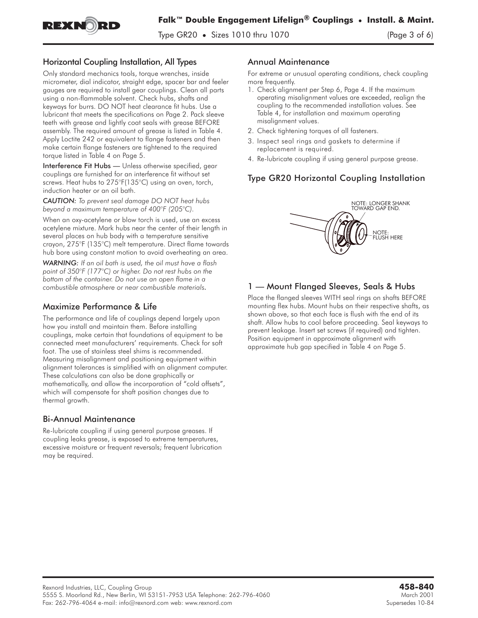

## Horizontal Coupling Installation, All Types

**Only standard mechanics tools, torque wrenches, inside micrometer, dial indicator, straight edge, spacer bar and feeler gauges are required to install gear couplings. Clean all parts using a non-flammable solvent. Check hubs, shafts and keyways for burrs. DO NOT heat clearance fit hubs. Use a lubricant that meets the specifications on Page 2. Pack sleeve teeth with grease and lightly coat seals with grease BEFORE assembly. The required amount of grease is listed in Table 4. Apply Loctite 242 or equivalent to flange fasteners and then make certain flange fasteners are tightened to the required torque listed in Table 4 on Page 5.**

Interference Fit Hubs — Unless otherwise specified, gear couplings are furnished for an interference fit without set screws. Heat hubs to 275°F(135°C) using an oven, torch, induction heater or an oil bath.

*CAUTION: To prevent seal damage DO NOT heat hubs beyond a maximum temperature of 400°F (205°C).*

**When an oxy-acetylene or blow torch is used, use an excess acetylene mixture. Mark hubs near the center of their length in several places on hub body with a temperature sensitive crayon, 275°F (135°C) melt temperature. Direct flame towards hub bore using constant motion to avoid overheating an area.**

*WARNING: If an oil bath is used, the oil must have a flash point of 350°F (177°C) or higher. Do not rest hubs on the bottom of the container. Do not use an open flame in a combustible atmosphere or near combustible materials.*

#### Maximize Performance & Life

**The performance and life of couplings depend largely upon how you install and maintain them. Before installing couplings, make certain that foundations of equipment to be connected meet manufacturers' requirements. Check for soft foot. The use of stainless steel shims is recommended. Measuring misalignment and positioning equipment within alignment tolerances is simplified with an alignment computer. These calculations can also be done graphically or mathematically, and allow the incorporation of "cold offsets", which will compensate for shaft position changes due to thermal growth.**

#### Bi-Annual Maintenance

Re-lubricate coupling if using general purpose greases. If coupling leaks grease, is exposed to extreme temperatures, excessive moisture or frequent reversals; frequent lubrication may be required.

#### Annual Maintenance

**For extreme or unusual operating conditions, check coupling more frequently.**

- **1. Check alignment per Step 6, Page 4. If the maximum operating misalignment values are exceeded, realign the coupling to the recommended installation values. See Table 4, for installation and maximum operating misalignment values.**
- **2. Check tightening torques of all fasteners.**
- **3. Inspect seal rings and gaskets to determine if replacement is required.**
- **4. Re-lubricate coupling if using general purpose grease.**

# Type GR20 Horizontal Coupling Installation



#### 1 — Mount Flanged Sleeves, Seals & Hubs

Place the flanged sleeves WITH seal rings on shafts BEFORE mounting flex hubs. Mount hubs on their respective shafts, as shown above, so that each face is flush with the end of its shaft. Allow hubs to cool before proceeding. Seal keyways to prevent leakage. Insert set screws (if required) and tighten. Position equipment in approximate alignment with approximate hub gap specified in Table 4 on Page 5.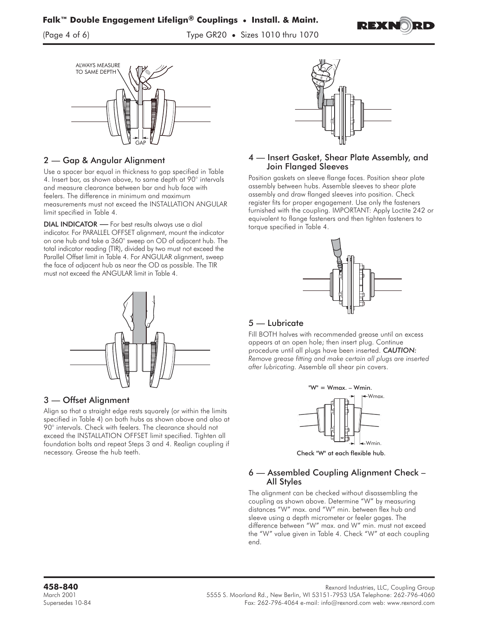

(Page 4 of 6) Type GR20 **•** Sizes 1010 thru 1070





### 2 — Gap & Angular Alignment

**Use a spacer bar equal in thickness to gap specified in Table 4. Insert bar, as shown above, to same depth at 90° intervals and measure clearance between bar and hub face with feelers.** The difference in minimum and maximum measurements must not exceed the INSTALLATION ANGULAR limit specified in Table 4.

DIAL INDICATOR - For best results always use a dial indicator. For PARALLEL OFFSET alignment, mount the indicator on one hub and take a 360° sweep on OD of adjacent hub. The total indicator reading (TIR), divided by two must not exceed the Parallel Offset limit in Table 4. For ANGULAR alignment, sweep the face of adjacent hub as near the OD as possible. The TIR must not exceed the ANGULAR limit in Table 4.



### 3 — Offset Alignment

Align so that a straight edge rests squarely (or within the limits specified in Table 4) on both hubs as shown above and also at 90° intervals. Check with feelers. The clearance should not exceed the INSTALLATION OFFSET limit specified. Tighten all foundation bolts and repeat Steps 3 and 4. Realign coupling if necessary. Grease the hub teeth.



#### 4 — Insert Gasket, Shear Plate Assembly, and Join Flanged Sleeves

Position gaskets on sleeve flange faces. Position shear plate assembly between hubs. Assemble sleeves to shear plate assembly and draw flanged sleeves into position. Check register fits for proper engagement. Use only the fasteners furnished with the coupling. IMPORTANT: Apply Loctite 242 or equivalent to flange fasteners and then tighten fasteners to torque specified in Table 4.



## 5 — Lubricate

Fill BOTH halves with recommended grease until an excess appears at an open hole; then insert plug. Continue procedure until all plugs have been inserted. *CAUTION: Remove grease fitting and make certain all plugs are inserted after lubricating.* Assemble all shear pin covers.



Wmin. Check "W" at each flexible hub.

#### 6 — Assembled Coupling Alignment Check – All Styles

The alignment can be checked without disassembling the coupling as shown above. Determine "W" by measuring distances "W" max. and "W" min. between flex hub and sleeve using a depth micrometer or feeler gages. The difference between "W" max. and W" min. must not exceed the "W" value given in Table 4. Check "W" at each coupling end.

Rexnord Industries, LLC, Coupling Group<br>March 2001 5555 S. Moorland Rd., New Berlin, WI 53151-7953 USA Telephone: 262-796-4060 Supersedes 10-84 Fax: 262-796-4064 e-mail: info@rexnord.com web: www.rexnord.com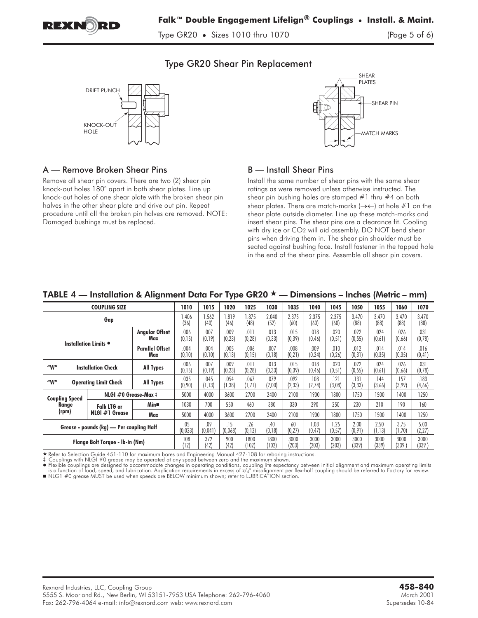

Type GR20 **•** Sizes 1010 thru 1070 (Page 5 of 6)

.<br>PI ATFS

SHEAR PIN

MATCH MARKS

## Type GR20 Shear Pin Replacement



Remove all shear pin covers. There are two (2) shear pin knock-out holes 180° apart in both shear plates. Line up knock-out holes of one shear plate with the broken shear pin halves in the other shear plate and drive out pin. Repeat procedure until all the broken pin halves are removed. NOTE:

A — Remove Broken Shear Pins

Damaged bushings must be replaced.

## B — Install Shear Pins

Install the same number of shear pins with the same shear ratings as were removed unless otherwise instructed. The shear pin bushing holes are stamped #1 thru #4 on both shear plates. There are match-marks  $(\rightarrow\leftarrow)$  at hole #1 on the shear plate outside diameter. Line up these match-marks and insert shear pins. The shear pins are a clearance fit. Cooling with dry ice or CO2 will aid assembly. DO NOT bend shear pins when driving them in. The shear pin shoulder must be seated against bushing face. Install fastener in the tapped hole in the end of the shear pins. Assemble all shear pin covers.

| TABLE 4 — Installation & Alignment Data For Type GR20 $\star$ — Dimensions – Inches (Metric – mm) |                                         |                           |                  |                 |                 |                 |                 |                 |                 |                 |                 |                 |                 |                 |                 |
|---------------------------------------------------------------------------------------------------|-----------------------------------------|---------------------------|------------------|-----------------|-----------------|-----------------|-----------------|-----------------|-----------------|-----------------|-----------------|-----------------|-----------------|-----------------|-----------------|
| <b>COUPLING SIZE</b>                                                                              |                                         |                           |                  | 1010            | 1015            | 1020            | 1025            | 1030            | 1035            | 1040            | 1045            | 1050            | 1055            | 1060            | 1070            |
| Gap                                                                                               |                                         |                           |                  | 1.406<br>(36)   | 1.562<br>(40)   | 1.819<br>(46)   | 1.875<br>(48)   | 2.040<br>(52)   | 2.375<br>(60)   | 2.375<br>(60)   | 2.375<br>(60)   | 3.470<br>(88)   | 3.470<br>(88)   | 3.470<br>(88)   | 3.470<br>(88)   |
| <b>Angular Offset</b><br>Max                                                                      |                                         |                           | .006<br>(0, 15)  | .007<br>(0, 19) | .009<br>(0, 23) | .011<br>(0, 28) | .013<br>(0, 33) | .015<br>(0, 39) | .018<br>(0, 46) | .020<br>(0, 51) | .022<br>(0, 55) | .024<br>(0,61)  | .026<br>(0,66)  | .031<br>(0,78)  |                 |
| Installation Limits .<br><b>Parallel Offset</b><br>Max                                            |                                         | .004<br>(0, 10)           | .004<br>(0, 10)  | .005<br>(0, 13) | .006<br>(0, 15) | .007<br>(0, 18) | .008<br>(0, 21) | .009<br>(0, 24) | .010<br>(0, 26) | .012<br>(0, 31) | .014<br>(0, 35) | .014<br>(0, 35) | .016<br>(0, 41) |                 |                 |
| ''W''                                                                                             |                                         | <b>Installation Check</b> | <b>All Types</b> | .006<br>(0, 15) | .007<br>(0, 19) | .009<br>(0, 23) | .011<br>(0, 28) | .013<br>(0, 33) | .015<br>(0, 39) | .018<br>(0, 46) | .020<br>(0, 51) | .022<br>(0, 55) | .024<br>(0,61)  | .026<br>(0,66)  | .031<br>(0, 78) |
| ''W''                                                                                             | <b>Operating Limit Check</b>            |                           | <b>All Types</b> | .035<br>(0,90)  | .045<br>(1, 13) | .054<br>(1, 38) | .067<br>(1, 71) | .079<br>(2,00)  | .092<br>(2, 33) | .108<br>(2,74)  | .121<br>(3,08)  | .131<br>(3, 33) | 144<br>(3,66)   | .157<br>(3,99)  | .183<br>(4,66)  |
| NLGI #0 Grease-Max #<br><b>Coupling Speed</b>                                                     |                                         |                           | 5000             | 4000            | 3600            | 2700            | 2400            | 2100            | 1900            | 1800            | 1750            | 1500            | 1400            | 1250            |                 |
| Range                                                                                             | <b>Falk LTG or</b><br>$NLGI \#I$ Grease | Min■                      | 1030             | 700             | 550             | 460             | 380             | 330             | 290             | 250             | 230             | 210             | 190             | 160             |                 |
| (rpm)                                                                                             |                                         | Max                       | 5000             | 4000            | 3600            | 2700            | 2400            | 2100            | 1900            | 1800            | 1750            | 1500            | 1400            | 1250            |                 |
| Grease - pounds (kg) - Per coupling Half                                                          |                                         |                           | .05<br>(0,023)   | .09<br>(0,04]   | .15<br>(0,068)  | .26<br>(0, 12)  | .40<br>(0, 18)  | 60<br>(0,27)    | .03<br>(0, 47)  | 1.25<br>(0, 57) | 2.00<br>(0, 91) | 2.50<br>(1, 13) | 3.75<br>(1, 70) | 5.00<br>(2, 27) |                 |
| Flange Bolt Torque - Ib-in (Nm)                                                                   |                                         |                           | 108<br>(12)      | 372<br>(42)     | 900<br>(42)     | 1800<br>(102)   | 1800<br>(102)   | 3000<br>(203)   | 3000<br>(203)   | 3000<br>(203)   | 3000<br>(339)   | 3000<br>(339)   | 3000<br>(339)   | 3000<br>(339)   |                 |

★ Refer to Selection Guide 451-110 for maximum bores and Engineering Manual 427-108 for reboring instructions.<br>‡ Couplings with NLGI #0 grease may be operated at any speed between zero and the maximum shown.<br>● Flexible co